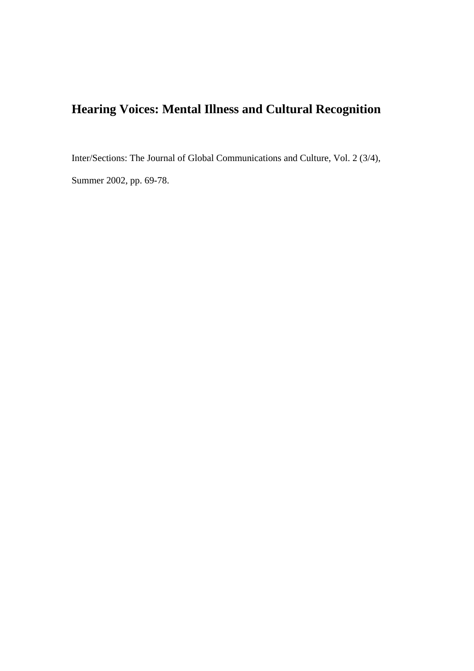# **Hearing Voices: Mental Illness and Cultural Recognition**

Inter/Sections: The Journal of Global Communications and Culture, Vol. 2 (3/4),

Summer 2002, pp. 69-78.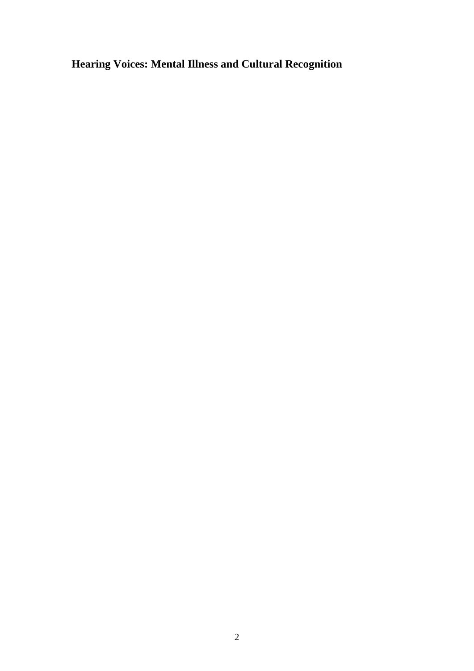**Hearing Voices: Mental Illness and Cultural Recognition**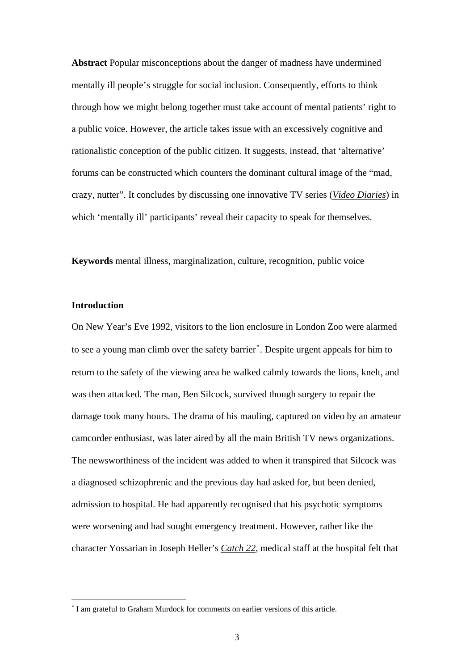**Abstract** Popular misconceptions about the danger of madness have undermined mentally ill people's struggle for social inclusion. Consequently, efforts to think through how we might belong together must take account of mental patients' right to a public voice. However, the article takes issue with an excessively cognitive and rationalistic conception of the public citizen. It suggests, instead, that 'alternative' forums can be constructed which counters the dominant cultural image of the "mad, crazy, nutter". It concludes by discussing one innovative TV series (*Video Diaries*) in which 'mentally ill' participants' reveal their capacity to speak for themselves.

**Keywords** mental illness, marginalization, culture, recognition, public voice

# **Introduction**

1

On New Year's Eve 1992, visitors to the lion enclosure in London Zoo were alarmed to see a young man climb over the safety barrier<sup>\*</sup>. Despite urgent appeals for him to return to the safety of the viewing area he walked calmly towards the lions, knelt, and was then attacked. The man, Ben Silcock, survived though surgery to repair the damage took many hours. The drama of his mauling, captured on video by an amateur camcorder enthusiast, was later aired by all the main British TV news organizations. The newsworthiness of the incident was added to when it transpired that Silcock was a diagnosed schizophrenic and the previous day had asked for, but been denied, admission to hospital. He had apparently recognised that his psychotic symptoms were worsening and had sought emergency treatment. However, rather like the character Yossarian in Joseph Heller's *Catch 22*, medical staff at the hospital felt that

<span id="page-2-0"></span><sup>∗</sup> I am grateful to Graham Murdock for comments on earlier versions of this article.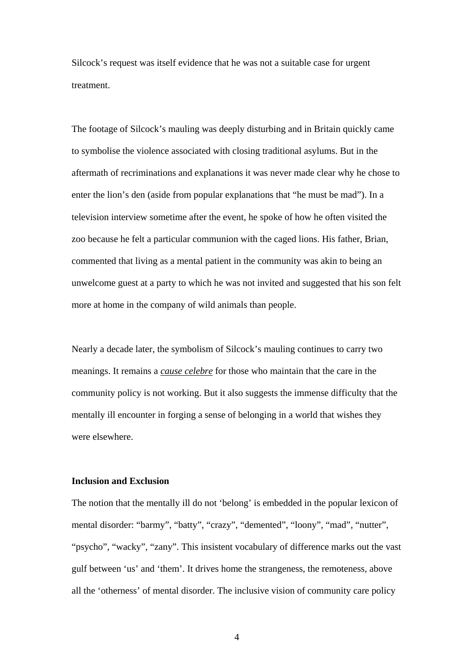Silcock's request was itself evidence that he was not a suitable case for urgent treatment.

The footage of Silcock's mauling was deeply disturbing and in Britain quickly came to symbolise the violence associated with closing traditional asylums. But in the aftermath of recriminations and explanations it was never made clear why he chose to enter the lion's den (aside from popular explanations that "he must be mad"). In a television interview sometime after the event, he spoke of how he often visited the zoo because he felt a particular communion with the caged lions. His father, Brian, commented that living as a mental patient in the community was akin to being an unwelcome guest at a party to which he was not invited and suggested that his son felt more at home in the company of wild animals than people.

Nearly a decade later, the symbolism of Silcock's mauling continues to carry two meanings. It remains a *cause celebre* for those who maintain that the care in the community policy is not working. But it also suggests the immense difficulty that the mentally ill encounter in forging a sense of belonging in a world that wishes they were elsewhere.

## **Inclusion and Exclusion**

The notion that the mentally ill do not 'belong' is embedded in the popular lexicon of mental disorder: "barmy", "batty", "crazy", "demented", "loony", "mad", "nutter", "psycho", "wacky", "zany". This insistent vocabulary of difference marks out the vast gulf between 'us' and 'them'. It drives home the strangeness, the remoteness, above all the 'otherness' of mental disorder. The inclusive vision of community care policy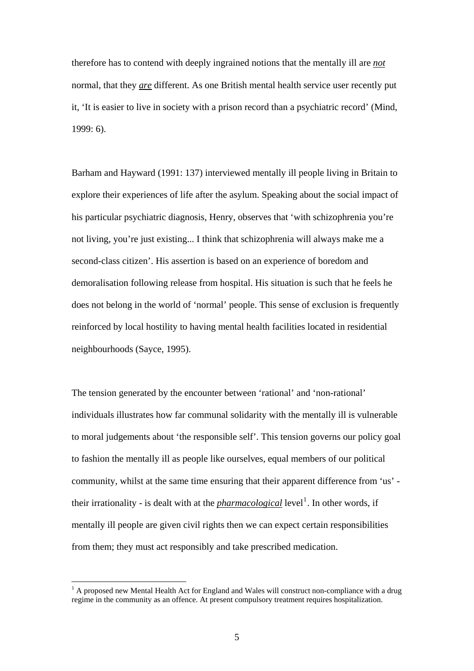therefore has to contend with deeply ingrained notions that the mentally ill are *not* normal, that they *are* different. As one British mental health service user recently put it, 'It is easier to live in society with a prison record than a psychiatric record' (Mind, 1999: 6).

Barham and Hayward (1991: 137) interviewed mentally ill people living in Britain to explore their experiences of life after the asylum. Speaking about the social impact of his particular psychiatric diagnosis, Henry, observes that 'with schizophrenia you're not living, you're just existing... I think that schizophrenia will always make me a second-class citizen'. His assertion is based on an experience of boredom and demoralisation following release from hospital. His situation is such that he feels he does not belong in the world of 'normal' people. This sense of exclusion is frequently reinforced by local hostility to having mental health facilities located in residential neighbourhoods (Sayce, 1995).

The tension generated by the encounter between 'rational' and 'non-rational' individuals illustrates how far communal solidarity with the mentally ill is vulnerable to moral judgements about 'the responsible self'. This tension governs our policy goal to fashion the mentally ill as people like ourselves, equal members of our political community, whilst at the same time ensuring that their apparent difference from 'us' their irrationality - is dealt with at the *pharmacological* level<sup>[1](#page-4-0)</sup>. In other words, if mentally ill people are given civil rights then we can expect certain responsibilities from them; they must act responsibly and take prescribed medication.

<span id="page-4-0"></span> $<sup>1</sup>$  A proposed new Mental Health Act for England and Wales will construct non-compliance with a drug</sup> regime in the community as an offence. At present compulsory treatment requires hospitalization.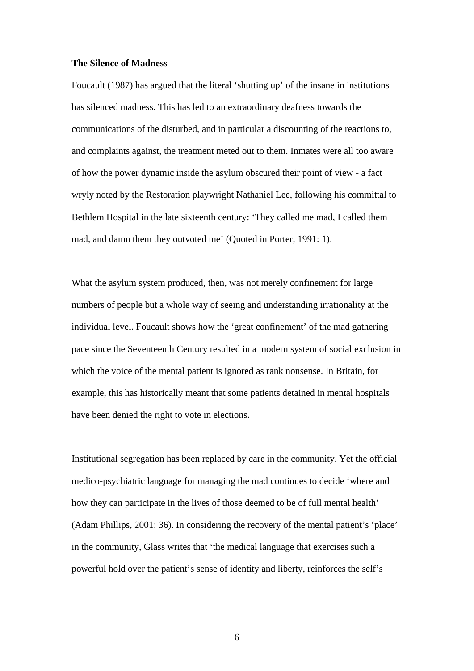#### **The Silence of Madness**

Foucault (1987) has argued that the literal 'shutting up' of the insane in institutions has silenced madness. This has led to an extraordinary deafness towards the communications of the disturbed, and in particular a discounting of the reactions to, and complaints against, the treatment meted out to them. Inmates were all too aware of how the power dynamic inside the asylum obscured their point of view - a fact wryly noted by the Restoration playwright Nathaniel Lee, following his committal to Bethlem Hospital in the late sixteenth century: 'They called me mad, I called them mad, and damn them they outvoted me' (Quoted in Porter, 1991: 1).

What the asylum system produced, then, was not merely confinement for large numbers of people but a whole way of seeing and understanding irrationality at the individual level. Foucault shows how the 'great confinement' of the mad gathering pace since the Seventeenth Century resulted in a modern system of social exclusion in which the voice of the mental patient is ignored as rank nonsense. In Britain, for example, this has historically meant that some patients detained in mental hospitals have been denied the right to vote in elections.

Institutional segregation has been replaced by care in the community. Yet the official medico-psychiatric language for managing the mad continues to decide 'where and how they can participate in the lives of those deemed to be of full mental health' (Adam Phillips, 2001: 36). In considering the recovery of the mental patient's 'place' in the community, Glass writes that 'the medical language that exercises such a powerful hold over the patient's sense of identity and liberty, reinforces the self's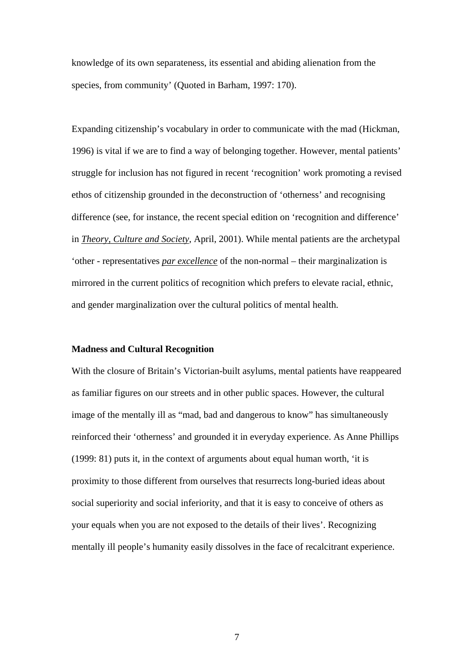knowledge of its own separateness, its essential and abiding alienation from the species, from community' (Quoted in Barham, 1997: 170).

Expanding citizenship's vocabulary in order to communicate with the mad (Hickman, 1996) is vital if we are to find a way of belonging together. However, mental patients' struggle for inclusion has not figured in recent 'recognition' work promoting a revised ethos of citizenship grounded in the deconstruction of 'otherness' and recognising difference (see, for instance, the recent special edition on 'recognition and difference' in *Theory, Culture and Society*, April, 2001). While mental patients are the archetypal 'other - representatives *par excellence* of the non-normal – their marginalization is mirrored in the current politics of recognition which prefers to elevate racial, ethnic, and gender marginalization over the cultural politics of mental health.

## **Madness and Cultural Recognition**

With the closure of Britain's Victorian-built asylums, mental patients have reappeared as familiar figures on our streets and in other public spaces. However, the cultural image of the mentally ill as "mad, bad and dangerous to know" has simultaneously reinforced their 'otherness' and grounded it in everyday experience. As Anne Phillips (1999: 81) puts it, in the context of arguments about equal human worth, 'it is proximity to those different from ourselves that resurrects long-buried ideas about social superiority and social inferiority, and that it is easy to conceive of others as your equals when you are not exposed to the details of their lives'. Recognizing mentally ill people's humanity easily dissolves in the face of recalcitrant experience.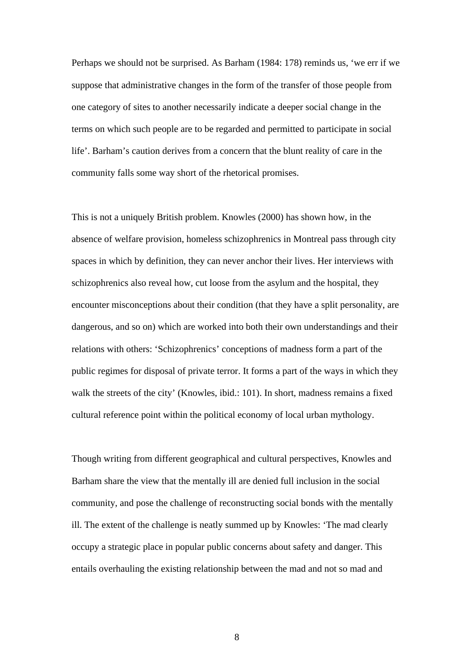Perhaps we should not be surprised. As Barham (1984: 178) reminds us, 'we err if we suppose that administrative changes in the form of the transfer of those people from one category of sites to another necessarily indicate a deeper social change in the terms on which such people are to be regarded and permitted to participate in social life'. Barham's caution derives from a concern that the blunt reality of care in the community falls some way short of the rhetorical promises.

This is not a uniquely British problem. Knowles (2000) has shown how, in the absence of welfare provision, homeless schizophrenics in Montreal pass through city spaces in which by definition, they can never anchor their lives. Her interviews with schizophrenics also reveal how, cut loose from the asylum and the hospital, they encounter misconceptions about their condition (that they have a split personality, are dangerous, and so on) which are worked into both their own understandings and their relations with others: 'Schizophrenics' conceptions of madness form a part of the public regimes for disposal of private terror. It forms a part of the ways in which they walk the streets of the city' (Knowles, ibid.: 101). In short, madness remains a fixed cultural reference point within the political economy of local urban mythology.

Though writing from different geographical and cultural perspectives, Knowles and Barham share the view that the mentally ill are denied full inclusion in the social community, and pose the challenge of reconstructing social bonds with the mentally ill. The extent of the challenge is neatly summed up by Knowles: 'The mad clearly occupy a strategic place in popular public concerns about safety and danger. This entails overhauling the existing relationship between the mad and not so mad and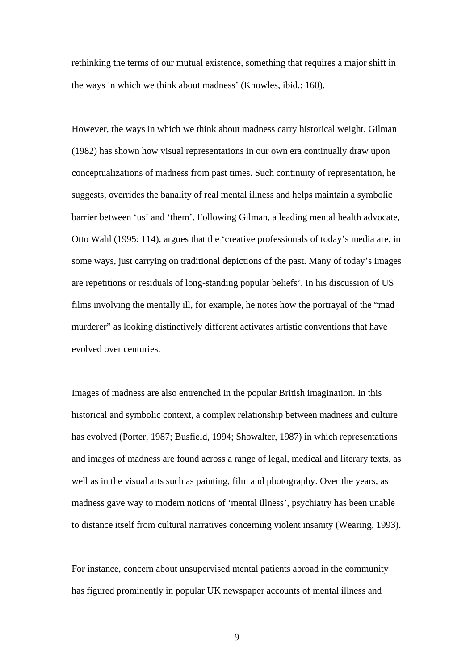rethinking the terms of our mutual existence, something that requires a major shift in the ways in which we think about madness' (Knowles, ibid.: 160).

However, the ways in which we think about madness carry historical weight. Gilman (1982) has shown how visual representations in our own era continually draw upon conceptualizations of madness from past times. Such continuity of representation, he suggests, overrides the banality of real mental illness and helps maintain a symbolic barrier between 'us' and 'them'. Following Gilman, a leading mental health advocate, Otto Wahl (1995: 114), argues that the 'creative professionals of today's media are, in some ways, just carrying on traditional depictions of the past. Many of today's images are repetitions or residuals of long-standing popular beliefs'. In his discussion of US films involving the mentally ill, for example, he notes how the portrayal of the "mad murderer" as looking distinctively different activates artistic conventions that have evolved over centuries.

Images of madness are also entrenched in the popular British imagination. In this historical and symbolic context, a complex relationship between madness and culture has evolved (Porter, 1987; Busfield, 1994; Showalter, 1987) in which representations and images of madness are found across a range of legal, medical and literary texts, as well as in the visual arts such as painting, film and photography. Over the years, as madness gave way to modern notions of 'mental illness', psychiatry has been unable to distance itself from cultural narratives concerning violent insanity (Wearing, 1993).

For instance, concern about unsupervised mental patients abroad in the community has figured prominently in popular UK newspaper accounts of mental illness and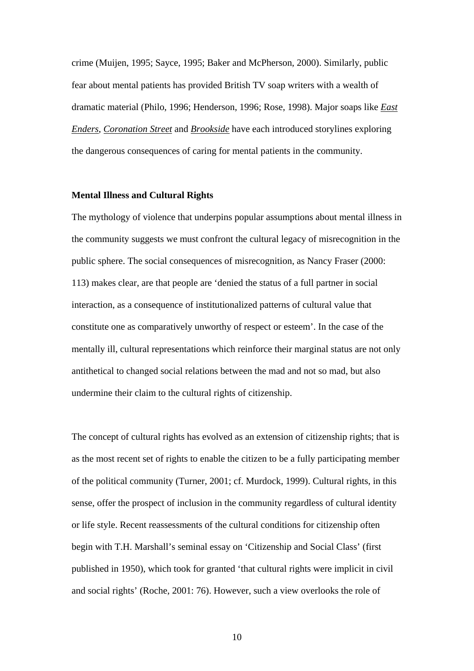crime (Muijen, 1995; Sayce, 1995; Baker and McPherson, 2000). Similarly, public fear about mental patients has provided British TV soap writers with a wealth of dramatic material (Philo, 1996; Henderson, 1996; Rose, 1998). Major soaps like *East Enders*, *Coronation Street* and *Brookside* have each introduced storylines exploring the dangerous consequences of caring for mental patients in the community.

#### **Mental Illness and Cultural Rights**

The mythology of violence that underpins popular assumptions about mental illness in the community suggests we must confront the cultural legacy of misrecognition in the public sphere. The social consequences of misrecognition, as Nancy Fraser (2000: 113) makes clear, are that people are 'denied the status of a full partner in social interaction, as a consequence of institutionalized patterns of cultural value that constitute one as comparatively unworthy of respect or esteem'. In the case of the mentally ill, cultural representations which reinforce their marginal status are not only antithetical to changed social relations between the mad and not so mad, but also undermine their claim to the cultural rights of citizenship.

The concept of cultural rights has evolved as an extension of citizenship rights; that is as the most recent set of rights to enable the citizen to be a fully participating member of the political community (Turner, 2001; cf. Murdock, 1999). Cultural rights, in this sense, offer the prospect of inclusion in the community regardless of cultural identity or life style. Recent reassessments of the cultural conditions for citizenship often begin with T.H. Marshall's seminal essay on 'Citizenship and Social Class' (first published in 1950), which took for granted 'that cultural rights were implicit in civil and social rights' (Roche, 2001: 76). However, such a view overlooks the role of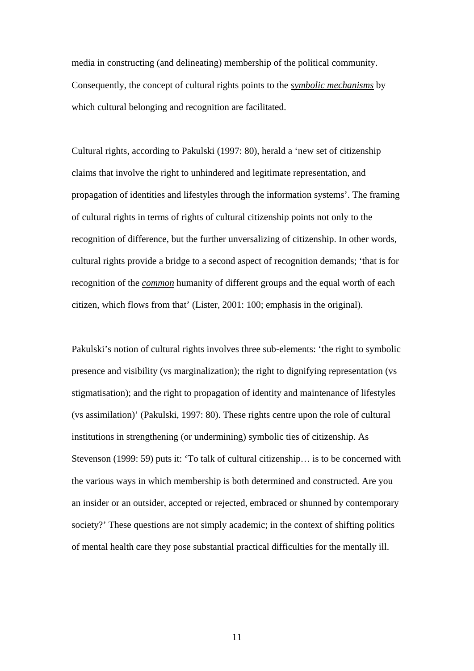media in constructing (and delineating) membership of the political community. Consequently, the concept of cultural rights points to the *symbolic mechanisms* by which cultural belonging and recognition are facilitated.

Cultural rights, according to Pakulski (1997: 80), herald a 'new set of citizenship claims that involve the right to unhindered and legitimate representation, and propagation of identities and lifestyles through the information systems'. The framing of cultural rights in terms of rights of cultural citizenship points not only to the recognition of difference, but the further unversalizing of citizenship. In other words, cultural rights provide a bridge to a second aspect of recognition demands; 'that is for recognition of the *common* humanity of different groups and the equal worth of each citizen, which flows from that' (Lister, 2001: 100; emphasis in the original).

Pakulski's notion of cultural rights involves three sub-elements: 'the right to symbolic presence and visibility (vs marginalization); the right to dignifying representation (vs stigmatisation); and the right to propagation of identity and maintenance of lifestyles (vs assimilation)' (Pakulski, 1997: 80). These rights centre upon the role of cultural institutions in strengthening (or undermining) symbolic ties of citizenship. As Stevenson (1999: 59) puts it: 'To talk of cultural citizenship... is to be concerned with the various ways in which membership is both determined and constructed. Are you an insider or an outsider, accepted or rejected, embraced or shunned by contemporary society?' These questions are not simply academic; in the context of shifting politics of mental health care they pose substantial practical difficulties for the mentally ill.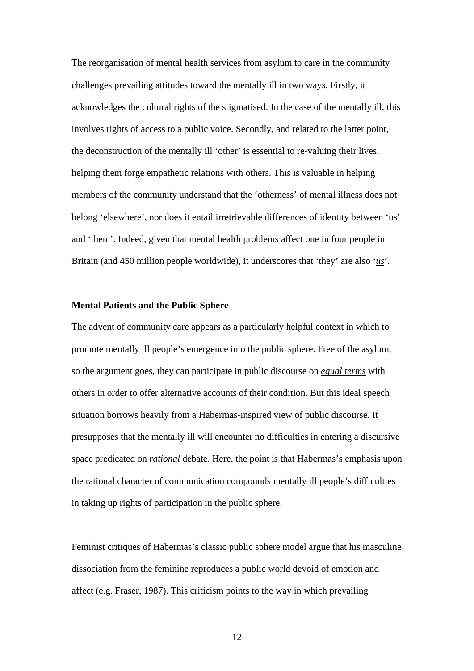The reorganisation of mental health services from asylum to care in the community challenges prevailing attitudes toward the mentally ill in two ways. Firstly, it acknowledges the cultural rights of the stigmatised. In the case of the mentally ill, this involves rights of access to a public voice. Secondly, and related to the latter point, the deconstruction of the mentally ill 'other' is essential to re-valuing their lives, helping them forge empathetic relations with others. This is valuable in helping members of the community understand that the 'otherness' of mental illness does not belong 'elsewhere', nor does it entail irretrievable differences of identity between 'us' and 'them'. Indeed, given that mental health problems affect one in four people in Britain (and 450 million people worldwide), it underscores that 'they' are also '*us*'.

## **Mental Patients and the Public Sphere**

The advent of community care appears as a particularly helpful context in which to promote mentally ill people's emergence into the public sphere. Free of the asylum, so the argument goes, they can participate in public discourse on *equal terms* with others in order to offer alternative accounts of their condition. But this ideal speech situation borrows heavily from a Habermas-inspired view of public discourse. It presupposes that the mentally ill will encounter no difficulties in entering a discursive space predicated on *rational* debate. Here, the point is that Habermas's emphasis upon the rational character of communication compounds mentally ill people's difficulties in taking up rights of participation in the public sphere.

Feminist critiques of Habermas's classic public sphere model argue that his masculine dissociation from the feminine reproduces a public world devoid of emotion and affect (e.g. Fraser, 1987). This criticism points to the way in which prevailing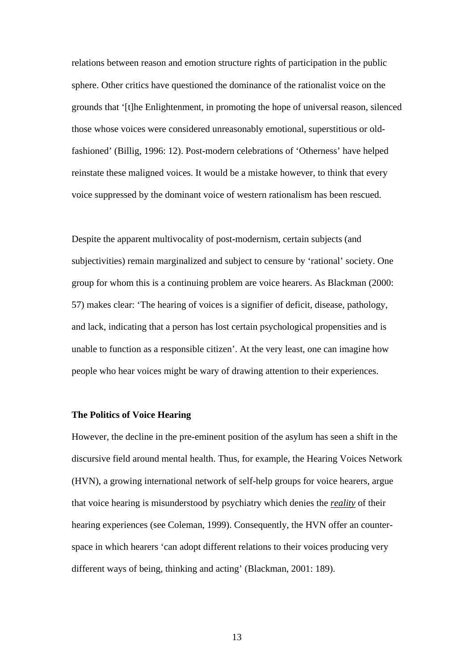relations between reason and emotion structure rights of participation in the public sphere. Other critics have questioned the dominance of the rationalist voice on the grounds that '[t]he Enlightenment, in promoting the hope of universal reason, silenced those whose voices were considered unreasonably emotional, superstitious or oldfashioned' (Billig, 1996: 12). Post-modern celebrations of 'Otherness' have helped reinstate these maligned voices. It would be a mistake however, to think that every voice suppressed by the dominant voice of western rationalism has been rescued.

Despite the apparent multivocality of post-modernism, certain subjects (and subjectivities) remain marginalized and subject to censure by 'rational' society. One group for whom this is a continuing problem are voice hearers. As Blackman (2000: 57) makes clear: 'The hearing of voices is a signifier of deficit, disease, pathology, and lack, indicating that a person has lost certain psychological propensities and is unable to function as a responsible citizen'. At the very least, one can imagine how people who hear voices might be wary of drawing attention to their experiences.

# **The Politics of Voice Hearing**

However, the decline in the pre-eminent position of the asylum has seen a shift in the discursive field around mental health. Thus, for example, the Hearing Voices Network (HVN), a growing international network of self-help groups for voice hearers, argue that voice hearing is misunderstood by psychiatry which denies the *reality* of their hearing experiences (see Coleman, 1999). Consequently, the HVN offer an counterspace in which hearers 'can adopt different relations to their voices producing very different ways of being, thinking and acting' (Blackman, 2001: 189).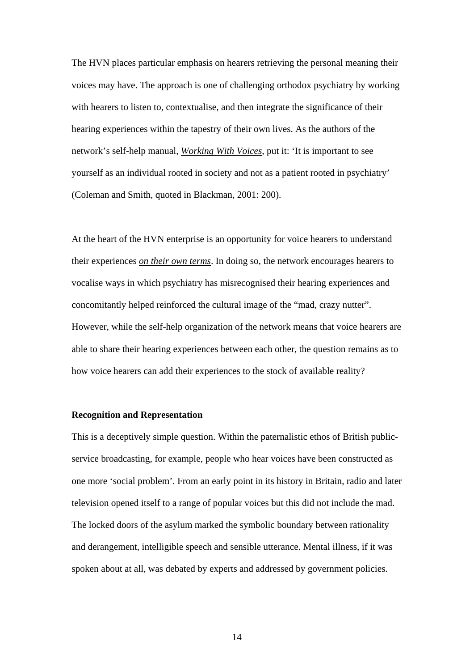The HVN places particular emphasis on hearers retrieving the personal meaning their voices may have. The approach is one of challenging orthodox psychiatry by working with hearers to listen to, contextualise, and then integrate the significance of their hearing experiences within the tapestry of their own lives. As the authors of the network's self-help manual, *Working With Voices*, put it: 'It is important to see yourself as an individual rooted in society and not as a patient rooted in psychiatry' (Coleman and Smith, quoted in Blackman, 2001: 200).

At the heart of the HVN enterprise is an opportunity for voice hearers to understand their experiences *on their own terms*. In doing so, the network encourages hearers to vocalise ways in which psychiatry has misrecognised their hearing experiences and concomitantly helped reinforced the cultural image of the "mad, crazy nutter". However, while the self-help organization of the network means that voice hearers are able to share their hearing experiences between each other, the question remains as to how voice hearers can add their experiences to the stock of available reality?

# **Recognition and Representation**

This is a deceptively simple question. Within the paternalistic ethos of British publicservice broadcasting, for example, people who hear voices have been constructed as one more 'social problem'. From an early point in its history in Britain, radio and later television opened itself to a range of popular voices but this did not include the mad. The locked doors of the asylum marked the symbolic boundary between rationality and derangement, intelligible speech and sensible utterance. Mental illness, if it was spoken about at all, was debated by experts and addressed by government policies.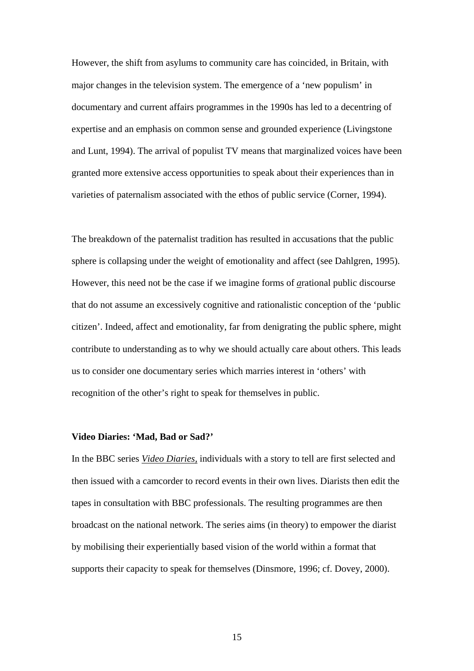However, the shift from asylums to community care has coincided, in Britain, with major changes in the television system. The emergence of a 'new populism' in documentary and current affairs programmes in the 1990s has led to a decentring of expertise and an emphasis on common sense and grounded experience (Livingstone and Lunt, 1994). The arrival of populist TV means that marginalized voices have been granted more extensive access opportunities to speak about their experiences than in varieties of paternalism associated with the ethos of public service (Corner, 1994).

The breakdown of the paternalist tradition has resulted in accusations that the public sphere is collapsing under the weight of emotionality and affect (see Dahlgren, 1995). However, this need not be the case if we imagine forms of *a*rational public discourse that do not assume an excessively cognitive and rationalistic conception of the 'public citizen'. Indeed, affect and emotionality, far from denigrating the public sphere, might contribute to understanding as to why we should actually care about others. This leads us to consider one documentary series which marries interest in 'others' with recognition of the other's right to speak for themselves in public.

## **Video Diaries: 'Mad, Bad or Sad?'**

In the BBC series *Video Diaries,* individuals with a story to tell are first selected and then issued with a camcorder to record events in their own lives. Diarists then edit the tapes in consultation with BBC professionals. The resulting programmes are then broadcast on the national network. The series aims (in theory) to empower the diarist by mobilising their experientially based vision of the world within a format that supports their capacity to speak for themselves (Dinsmore, 1996; cf. Dovey, 2000).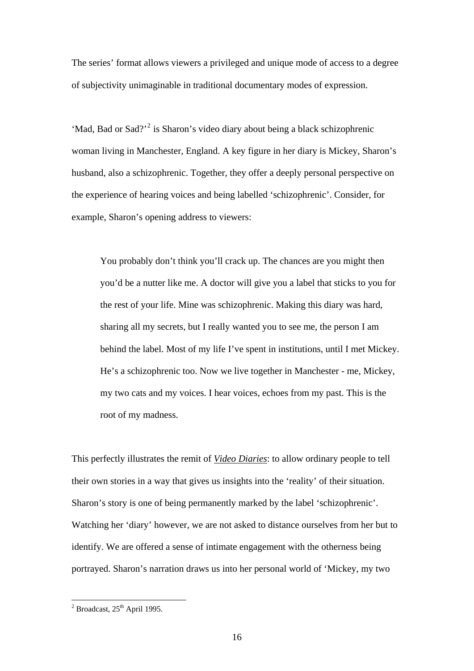The series' format allows viewers a privileged and unique mode of access to a degree of subjectivity unimaginable in traditional documentary modes of expression.

'Mad, Bad or Sad?'<sup>[2](#page-15-0)</sup> is Sharon's video diary about being a black schizophrenic woman living in Manchester, England. A key figure in her diary is Mickey, Sharon's husband, also a schizophrenic. Together, they offer a deeply personal perspective on the experience of hearing voices and being labelled 'schizophrenic'. Consider, for example, Sharon's opening address to viewers:

 You probably don't think you'll crack up. The chances are you might then you'd be a nutter like me. A doctor will give you a label that sticks to you for the rest of your life. Mine was schizophrenic. Making this diary was hard, sharing all my secrets, but I really wanted you to see me, the person I am behind the label. Most of my life I've spent in institutions, until I met Mickey. He's a schizophrenic too. Now we live together in Manchester - me, Mickey, my two cats and my voices. I hear voices, echoes from my past. This is the root of my madness.

This perfectly illustrates the remit of *Video Diaries*: to allow ordinary people to tell their own stories in a way that gives us insights into the 'reality' of their situation. Sharon's story is one of being permanently marked by the label 'schizophrenic'. Watching her 'diary' however, we are not asked to distance ourselves from her but to identify. We are offered a sense of intimate engagement with the otherness being portrayed. Sharon's narration draws us into her personal world of 'Mickey, my two

<span id="page-15-0"></span> $\frac{1}{2}$ Broadcast, 25<sup>th</sup> April 1995.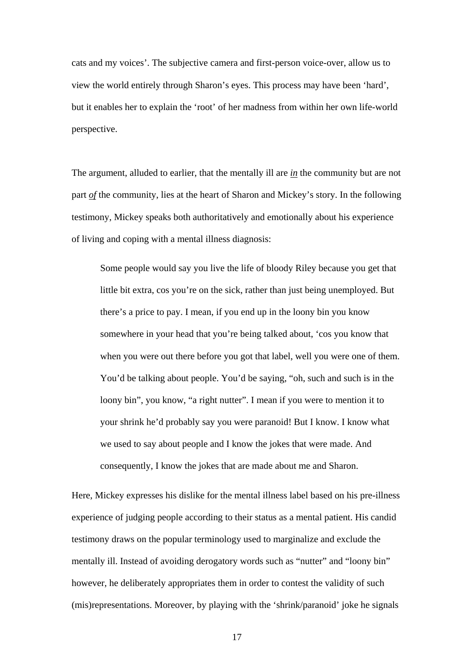cats and my voices'. The subjective camera and first-person voice-over, allow us to view the world entirely through Sharon's eyes. This process may have been 'hard', but it enables her to explain the 'root' of her madness from within her own life-world perspective.

The argument, alluded to earlier, that the mentally ill are *in* the community but are not part *of* the community, lies at the heart of Sharon and Mickey's story. In the following testimony, Mickey speaks both authoritatively and emotionally about his experience of living and coping with a mental illness diagnosis:

 Some people would say you live the life of bloody Riley because you get that little bit extra, cos you're on the sick, rather than just being unemployed. But there's a price to pay. I mean, if you end up in the loony bin you know somewhere in your head that you're being talked about, 'cos you know that when you were out there before you got that label, well you were one of them. You'd be talking about people. You'd be saying, "oh, such and such is in the loony bin", you know, "a right nutter". I mean if you were to mention it to your shrink he'd probably say you were paranoid! But I know. I know what we used to say about people and I know the jokes that were made. And consequently, I know the jokes that are made about me and Sharon.

Here, Mickey expresses his dislike for the mental illness label based on his pre-illness experience of judging people according to their status as a mental patient. His candid testimony draws on the popular terminology used to marginalize and exclude the mentally ill. Instead of avoiding derogatory words such as "nutter" and "loony bin" however, he deliberately appropriates them in order to contest the validity of such (mis)representations. Moreover, by playing with the 'shrink/paranoid' joke he signals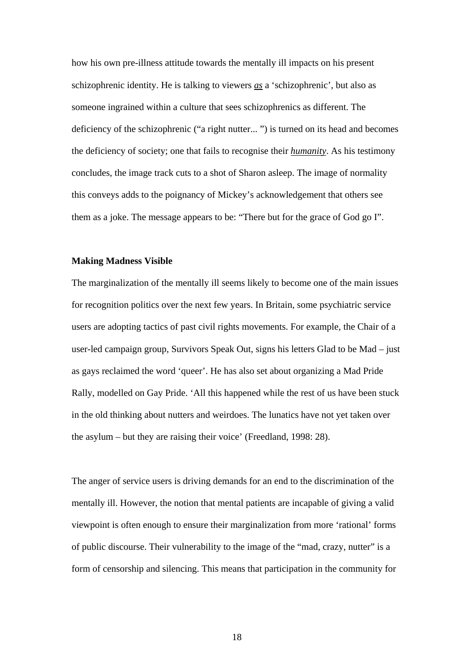how his own pre-illness attitude towards the mentally ill impacts on his present schizophrenic identity. He is talking to viewers *as* a 'schizophrenic', but also as someone ingrained within a culture that sees schizophrenics as different. The deficiency of the schizophrenic ("a right nutter... ") is turned on its head and becomes the deficiency of society; one that fails to recognise their *humanity*. As his testimony concludes, the image track cuts to a shot of Sharon asleep. The image of normality this conveys adds to the poignancy of Mickey's acknowledgement that others see them as a joke. The message appears to be: "There but for the grace of God go I".

## **Making Madness Visible**

The marginalization of the mentally ill seems likely to become one of the main issues for recognition politics over the next few years. In Britain, some psychiatric service users are adopting tactics of past civil rights movements. For example, the Chair of a user-led campaign group, Survivors Speak Out, signs his letters Glad to be Mad – just as gays reclaimed the word 'queer'. He has also set about organizing a Mad Pride Rally, modelled on Gay Pride. 'All this happened while the rest of us have been stuck in the old thinking about nutters and weirdoes. The lunatics have not yet taken over the asylum – but they are raising their voice' (Freedland, 1998: 28).

The anger of service users is driving demands for an end to the discrimination of the mentally ill. However, the notion that mental patients are incapable of giving a valid viewpoint is often enough to ensure their marginalization from more 'rational' forms of public discourse. Their vulnerability to the image of the "mad, crazy, nutter" is a form of censorship and silencing. This means that participation in the community for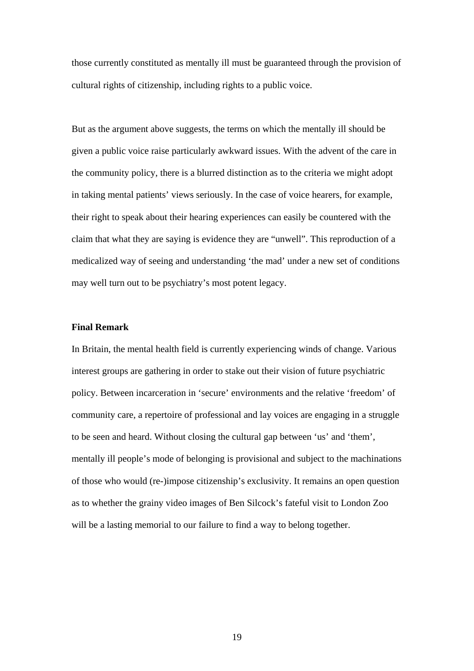those currently constituted as mentally ill must be guaranteed through the provision of cultural rights of citizenship, including rights to a public voice.

But as the argument above suggests, the terms on which the mentally ill should be given a public voice raise particularly awkward issues. With the advent of the care in the community policy, there is a blurred distinction as to the criteria we might adopt in taking mental patients' views seriously. In the case of voice hearers, for example, their right to speak about their hearing experiences can easily be countered with the claim that what they are saying is evidence they are "unwell". This reproduction of a medicalized way of seeing and understanding 'the mad' under a new set of conditions may well turn out to be psychiatry's most potent legacy.

## **Final Remark**

In Britain, the mental health field is currently experiencing winds of change. Various interest groups are gathering in order to stake out their vision of future psychiatric policy. Between incarceration in 'secure' environments and the relative 'freedom' of community care, a repertoire of professional and lay voices are engaging in a struggle to be seen and heard. Without closing the cultural gap between 'us' and 'them', mentally ill people's mode of belonging is provisional and subject to the machinations of those who would (re-)impose citizenship's exclusivity. It remains an open question as to whether the grainy video images of Ben Silcock's fateful visit to London Zoo will be a lasting memorial to our failure to find a way to belong together.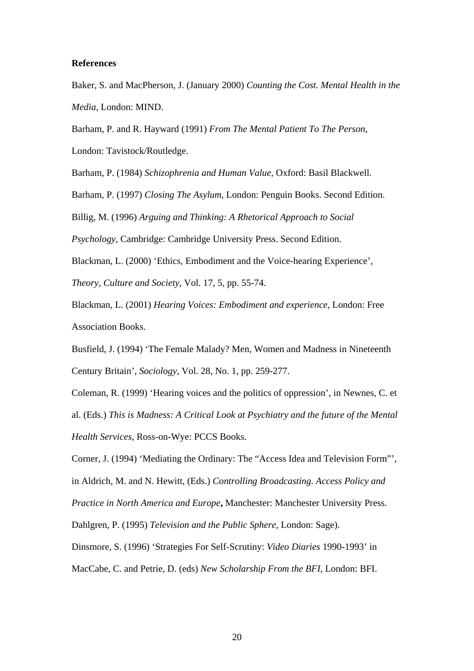## **References**

Baker, S. and MacPherson, J. (January 2000) *Counting the Cost. Mental Health in the Media*, London: MIND.

Barham, P. and R. Hayward (1991) *From The Mental Patient To The Person*,

London: Tavistock/Routledge.

Barham, P. (1984) *Schizophrenia and Human Value*, Oxford: Basil Blackwell.

Barham, P. (1997) *Closing The Asylum*, London: Penguin Books. Second Edition.

Billig, M. (1996) *Arguing and Thinking: A Rhetorical Approach to Social* 

*Psychology*, Cambridge: Cambridge University Press. Second Edition.

Blackman, L. (2000) 'Ethics, Embodiment and the Voice-hearing Experience',

*Theory, Culture and Society*, Vol. 17, 5, pp. 55-74.

Blackman, L. (2001) *Hearing Voices: Embodiment and experience*, London: Free Association Books.

Busfield, J. (1994) 'The Female Malady? Men, Women and Madness in Nineteenth Century Britain', *Sociology*, Vol. 28, No. 1, pp. 259-277.

Coleman, R. (1999) 'Hearing voices and the politics of oppression', in Newnes, C. et al. (Eds.) *This is Madness: A Critical Look at Psychiatry and the future of the Mental Health Services*, Ross-on-Wye: PCCS Books.

Corner, J. (1994) 'Mediating the Ordinary: The "Access Idea and Television Form"',

in Aldrich, M. and N. Hewitt, (Eds.) *Controlling Broadcasting. Access Policy and* 

*Practice in North America and Europe***,** Manchester: Manchester University Press.

Dahlgren, P. (1995) *Television and the Public Sphere*, London: Sage).

Dinsmore, S. (1996) 'Strategies For Self-Scrutiny: *Video Diaries* 1990-1993' in

MacCabe, C. and Petrie, D. (eds) *New Scholarship From the BFI,* London: BFI.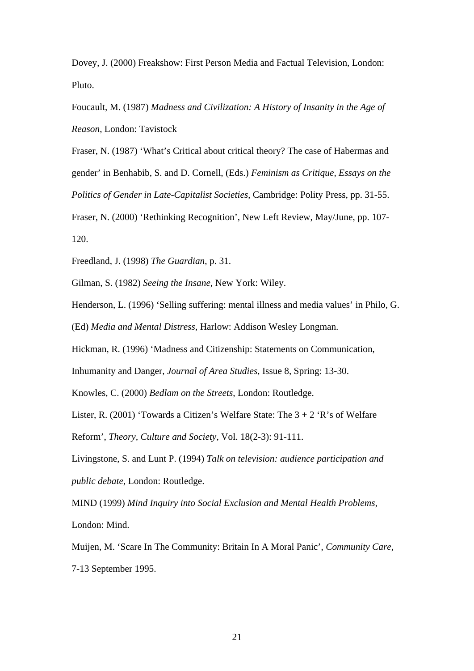Dovey, J. (2000) Freakshow: First Person Media and Factual Television, London: Pluto.

Foucault, M. (1987) *Madness and Civilization: A History of Insanity in the Age of Reason*, London: Tavistock

Fraser, N. (1987) 'What's Critical about critical theory? The case of Habermas and gender' in Benhabib, S. and D. Cornell, (Eds.) *Feminism as Critique, Essays on the Politics of Gender in Late-Capitalist Societies*, Cambridge: Polity Press, pp. 31-55.

Fraser, N. (2000) 'Rethinking Recognition', New Left Review, May/June, pp. 107- 120.

Freedland, J. (1998) *The Guardian*, p. 31.

Gilman, S. (1982) *Seeing the Insane*, New York: Wiley.

Henderson, L. (1996) 'Selling suffering: mental illness and media values' in Philo, G.

(Ed) *Media and Mental Distress*, Harlow: Addison Wesley Longman.

Hickman, R. (1996) 'Madness and Citizenship: Statements on Communication,

Inhumanity and Danger, *Journal of Area Studies*, Issue 8, Spring: 13-30.

Knowles, C. (2000) *Bedlam on the Streets*, London: Routledge.

Lister, R. (2001) 'Towards a Citizen's Welfare State: The  $3 + 2$  'R's of Welfare

Reform', *Theory, Culture and Society*, Vol. 18(2-3): 91-111.

Livingstone, S. and Lunt P. (1994) *Talk on television: audience participation and public debate,* London: Routledge.

MIND (1999) *Mind Inquiry into Social Exclusion and Mental Health Problems,* London: Mind.

Muijen, M. 'Scare In The Community: Britain In A Moral Panic', *Community Care*, 7-13 September 1995.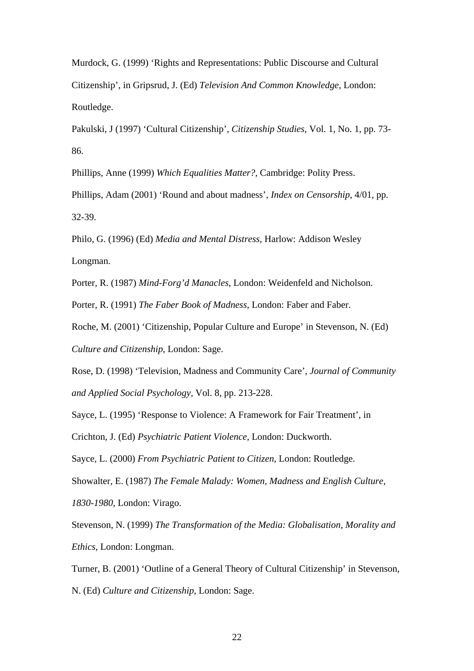Murdock, G. (1999) 'Rights and Representations: Public Discourse and Cultural Citizenship', in Gripsrud, J. (Ed) *Television And Common Knowledge,* London: Routledge.

Pakulski, J (1997) 'Cultural Citizenship', *Citizenship Studies*, Vol. 1, No. 1, pp. 73- 86.

Phillips, Anne (1999) *Which Equalities Matter?*, Cambridge: Polity Press.

Phillips, Adam (2001) 'Round and about madness', *Index on Censorship*, 4/01, pp. 32-39.

Philo, G. (1996) (Ed) *Media and Mental Distress*, Harlow: Addison Wesley Longman.

Porter, R. (1987) *Mind-Forg'd Manacles*, London: Weidenfeld and Nicholson.

Porter, R. (1991) *The Faber Book of Madness*, London: Faber and Faber.

Roche, M. (2001) 'Citizenship, Popular Culture and Europe' in Stevenson, N. (Ed) *Culture and Citizenship*, London: Sage.

Rose, D. (1998) 'Television, Madness and Community Care', *Journal of Community and Applied Social Psychology,* Vol. 8, pp. 213-228.

Sayce, L. (1995) 'Response to Violence: A Framework for Fair Treatment', in Crichton, J. (Ed) *Psychiatric Patient Violence*, London: Duckworth.

Sayce, L. (2000) *From Psychiatric Patient to Citizen*, London: Routledge.

Showalter, E. (1987) *The Female Malady: Women, Madness and English Culture,* 

*1830-1980*, London: Virago.

Stevenson, N. (1999) *The Transformation of the Media: Globalisation, Morality and Ethics*, London: Longman.

Turner, B. (2001) 'Outline of a General Theory of Cultural Citizenship' in Stevenson, N. (Ed) *Culture and Citizenship*, London: Sage.